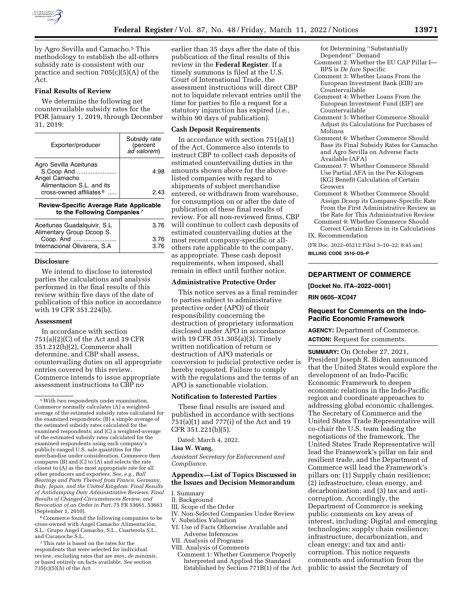

by Agro Sevilla and Camacho.<sup>5</sup> This methodology to establish the all-others subsidy rate is consistent with our practice and section 705(c)(5)(A) of the Act.

# **Final Results of Review**

We determine the following net countervailable subsidy rates for the POR January 1, 2019, through December 31, 2019:

| Exporter/producer                                                  | Subsidy rate<br>(percent<br>ad valorem) |
|--------------------------------------------------------------------|-----------------------------------------|
| Agro Sevilla Aceitunas<br>S.Coop And<br>Angel Camacho              | 4.98                                    |
| Alimentacion S.L. and its<br>cross-owned affiliates <sup>6</sup> . | 2.43                                    |

|  |                             | <b>Review-Specific Average Rate Applicable</b> |
|--|-----------------------------|------------------------------------------------|
|  | to the Following Companies? |                                                |

| Aceitunas Guadalguivir, S.L.<br>Alimentary Group Dcoop S. | 3.76 |
|-----------------------------------------------------------|------|
| Coop. And                                                 | 3.76 |
| Internacional Olivarera, S.A                              | 3.76 |

### **Disclosure**

We intend to disclose to interested parties the calculations and analysis performed in the final results of this review within five days of the date of publication of this notice in accordance with 19 CFR 351.224(b).

### **Assessment**

In accordance with section 751(a)(2)(C) of the Act and 19 CFR 351.212(b)(2), Commerce shall determine, and CBP shall assess, countervailing duties on all appropriate entries covered by this review. Commerce intends to issue appropriate assessment instructions to CBP no

<sup>6</sup>Commerce found the following companies to be cross-owned with Angel Camacho Alimentación, S.L.: Grupo Angel Camacho, S.L., Cuarterola S.L., and Cucanoche S.L.

7This rate is based on the rates for the respondents that were selected for individual review, excluding rates that are zero, *de minimis,*  or based entirely on facts available. *See* section  $735(c)(5)(A)$  of the Act.

earlier than 35 days after the date of this publication of the final results of this review in the **Federal Register**. If a timely summons is filed at the U.S. Court of International Trade, the assessment instructions will direct CBP not to liquidate relevant entries until the time for parties to file a request for a statutory injunction has expired (*i.e.,*  within 90 days of publication).

#### **Cash Deposit Requirements**

In accordance with section 751(a)(1) of the Act, Commerce also intends to instruct CBP to collect cash deposits of estimated countervailing duties in the amounts shown above for the abovelisted companies with regard to shipments of subject merchandise entered, or withdrawn from warehouse, for consumption on or after the date of publication of these final results of review. For all non-reviewed firms, CBP will continue to collect cash deposits of estimated countervailing duties at the most recent company-specific or allothers rate applicable to the company, as appropriate. These cash deposit requirements, when imposed, shall remain in effect until further notice.

### **Administrative Protective Order**

This notice serves as a final reminder to parties subject to administrative protective order (APO) of their responsibility concerning the destruction of proprietary information disclosed under APO in accordance with 19 CFR 351.305(a)(3). Timely written notification of return or destruction of APO materials or conversion to judicial protective order is hereby requested. Failure to comply with the regulations and the terms of an APO is sanctionable violation.

#### **Notification to Interested Parties**

These final results are issued and published in accordance with sections 751(a)(1) and 777(i) of the Act and 19 CFR 351.221(b)(5).

Dated: March 4, 2022.

#### **Lisa W. Wang,**

*Assistant Secretary for Enforcement and Compliance.* 

### **Appendix—List of Topics Discussed in the Issues and Decision Memorandum**

- I. Summary
- II. Background
- III. Scope of the Order
- IV. Non-Selected Companies Under Review V. Subsidies Valuation

- VI. Use of Facts Otherwise Available and Adverse Inferences
- VII. Analysis of Programs
- VIII. Analysis of Comments Comment 1: Whether Commerce Properly Interpreted and Applied the Standard Established by Section 771B(1) of the Act

for Determining ''Substantially Dependent'' Demand

- Comment 2: Whether the EU CAP Pillar I— BPS is *De Jure* Specific
- Comment 3: Whether Loans From the European Investment Bank (EIB) are Countervailable
- Comment 4: Whether Loans From the European Investment Fund (EIF) are Countervailable
- Comment 5: Whether Commerce Should Adjust its Calculations for Purchases of Molinos
- Comment 6: Whether Commerce Should Base its Final Subsidy Rates for Camacho and Agro Sevilla on Adverse Facts Available (AFA)
- Comment 7: Whether Commerce Should Use Partial AFA in the Per-Kilogram (KG) Benefit Calculation of Certain Growers
- Comment 8: Whether Commerce Should Assign Dcoop its Company-Specific Rate From the First Administrative Review as the Rate for This Administrative Review
- Comment 9: Whether Commerce Should Correct Certain Errors in its Calculations IX. Recommendation

[FR Doc. 2022–05212 Filed 3–10–22; 8:45 am] **BILLING CODE 3510–DS–P** 

# **DEPARTMENT OF COMMERCE**

**[Docket No. ITA–2022–0001]** 

**RIN 0605–XC047** 

## **Request for Comments on the Indo-Pacific Economic Framework**

**AGENCY:** Department of Commerce. **ACTION:** Request for comments.

**SUMMARY:** On October 27, 2021, President Joseph R. Biden announced that the United States would explore the development of an Indo-Pacific Economic Framework to deepen economic relations in the Indo-Pacific region and coordinate approaches to addressing global economic challenges. The Secretary of Commerce and the United States Trade Representative will co-chair the U.S. team leading the negotiations of the framework. The United States Trade Representative will lead the Framework's pillar on fair and resilient trade, and the Department of Commerce will lead the Framework's pillars on: (1) Supply chain resilience; (2) infrastructure, clean energy, and decarbonization; and (3) tax and anticorruption. Accordingly, the Department of Commerce is seeking public comments on key areas of interest, including: Digital and emerging technologies; supply chain resilience; infrastructure, decarbonization, and clean energy; and tax and anticorruption. This notice requests comments and information from the public to assist the Secretary of

<sup>5</sup>With two respondents under examination, Commerce normally calculates (A) a weightedaverage of the estimated subsidy rates calculated for the examined respondents; (B) a simple average of the estimated subsidy rates calculated for the examined respondents; and (C) a weighted-average of the estimated subsidy rates calculated for the examined respondents using each company's publicly-ranged U.S. sale quantities for the merchandise under consideration. Commerce then compares (B) and (C) to (A) and selects the rate closest to (A) as the most appropriate rate for all other producers and exporters. *See, e.g., Ball Bearings and Parts Thereof from France, Germany, Italy, Japan, and the United Kingdom: Final Results of Antidumping Duty Administrative Reviews, Final Results of Changed-Circumstances Review, and Revocation of an Order in Part,* 75 FR 53661, 53663 (September 1, 2010).